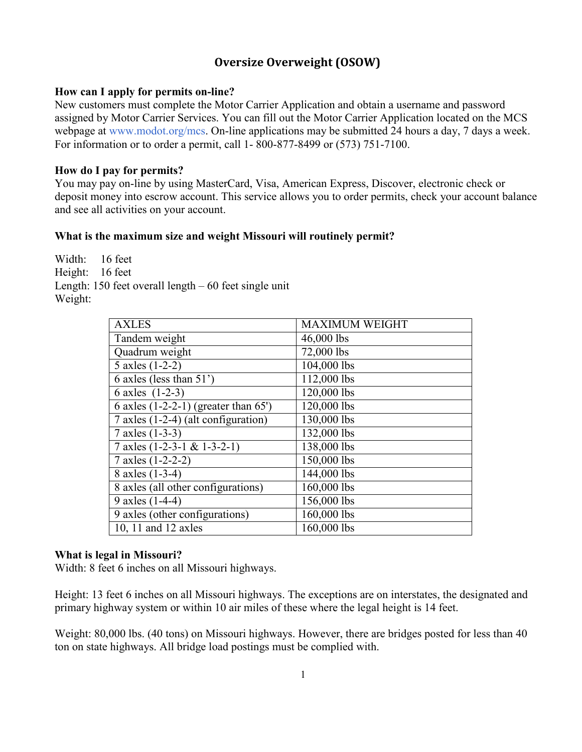# **Oversize Overweight (OSOW)**

# **How can I apply for permits on-line?**

New customers must complete the Motor Carrier Application and obtain a username and password assigned by Motor Carrier Services. You can fill out the Motor Carrier Application located on the MCS webpage at [www.modot.org/mcs.](http://www.modot.org/mcs) On-line applications may be submitted 24 hours a day, 7 days a week. For information or to order a permit, call 1- 800-877-8499 or (573) 751-7100.

# **How do I pay for permits?**

You may pay on-line by using MasterCard, Visa, American Express, Discover, electronic check or deposit money into escrow account. This service allows you to order permits, check your account balance and see all activities on your account.

# **What is the maximum size and weight Missouri will routinely permit?**

Width: 16 feet Height: 16 feet Length: 150 feet overall length – 60 feet single unit Weight:

| <b>AXLES</b>                           | <b>MAXIMUM WEIGHT</b> |
|----------------------------------------|-----------------------|
| Tandem weight                          | 46,000 lbs            |
| Quadrum weight                         | 72,000 lbs            |
| 5 axles (1-2-2)                        | 104,000 lbs           |
| 6 axles (less than $51'$ )             | 112,000 lbs           |
| 6 axles (1-2-3)                        | 120,000 lbs           |
| 6 axles $(1-2-2-1)$ (greater than 65') | 120,000 lbs           |
| 7 axles (1-2-4) (alt configuration)    | 130,000 lbs           |
| 7 axles (1-3-3)                        | 132,000 lbs           |
| 7 axles $(1-2-3-1 \& 1-3-2-1)$         | 138,000 lbs           |
| 7 axles (1-2-2-2)                      | 150,000 lbs           |
| 8 axles (1-3-4)                        | 144,000 lbs           |
| 8 axles (all other configurations)     | 160,000 lbs           |
| 9 axles (1-4-4)                        | 156,000 lbs           |
| 9 axles (other configurations)         | 160,000 lbs           |
| 10, 11 and 12 axles                    | 160,000 lbs           |

## **What is legal in Missouri?**

Width: 8 feet 6 inches on all Missouri highways.

Height: 13 feet 6 inches on all Missouri highways. The exceptions are on interstates, the designated and primary highway system or within 10 air miles of these where the legal height is 14 feet.

Weight: 80,000 lbs. (40 tons) on Missouri highways. However, there are bridges posted for less than 40 ton on state highways. All bridge load postings must be complied with.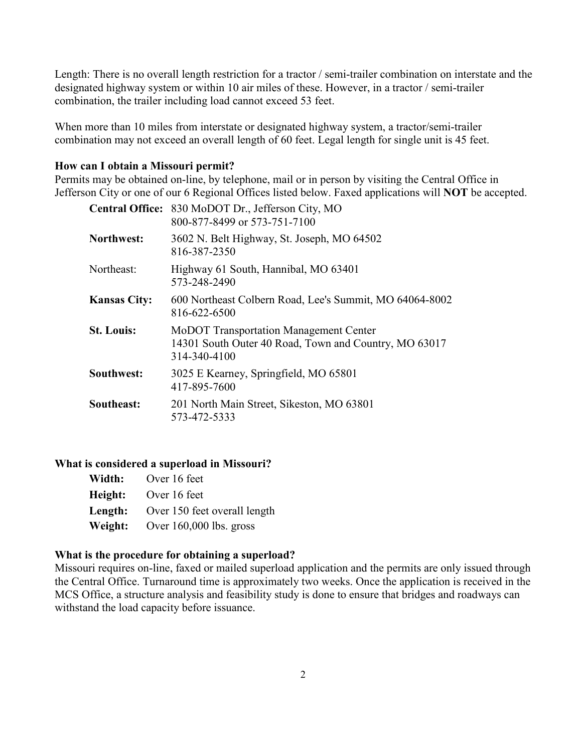Length: There is no overall length restriction for a tractor / semi-trailer combination on interstate and the designated highway system or within 10 air miles of these. However, in a tractor / semi-trailer combination, the trailer including load cannot exceed 53 feet.

When more than 10 miles from interstate or designated highway system, a tractor/semi-trailer combination may not exceed an overall length of 60 feet. Legal length for single unit is 45 feet.

## **How can I obtain a Missouri permit?**

Permits may be obtained on-line, by telephone, mail or in person by visiting the Central Office in Jefferson City or one of our 6 Regional Offices listed below. Faxed applications will **NOT** be accepted.

|                     | Central Office: 830 MoDOT Dr., Jefferson City, MO<br>800-877-8499 or 573-751-7100                               |
|---------------------|-----------------------------------------------------------------------------------------------------------------|
| Northwest:          | 3602 N. Belt Highway, St. Joseph, MO 64502<br>816-387-2350                                                      |
| Northeast:          | Highway 61 South, Hannibal, MO 63401<br>573-248-2490                                                            |
| <b>Kansas City:</b> | 600 Northeast Colbern Road, Lee's Summit, MO 64064-8002<br>816-622-6500                                         |
| <b>St. Louis:</b>   | MoDOT Transportation Management Center<br>14301 South Outer 40 Road, Town and Country, MO 63017<br>314-340-4100 |
| Southwest:          | 3025 E Kearney, Springfield, MO 65801<br>417-895-7600                                                           |
| Southeast:          | 201 North Main Street, Sikeston, MO 63801<br>573-472-5333                                                       |

## **What is considered a superload in Missouri?**

| Width:  | Over 16 feet                 |
|---------|------------------------------|
| Height: | Over 16 feet                 |
| Length: | Over 150 feet overall length |
| Weight: | Over $160,000$ lbs. gross    |

## **What is the procedure for obtaining a superload?**

Missouri requires on-line, faxed or mailed superload application and the permits are only issued through the Central Office. Turnaround time is approximately two weeks. Once the application is received in the MCS Office, a structure analysis and feasibility study is done to ensure that bridges and roadways can withstand the load capacity before issuance.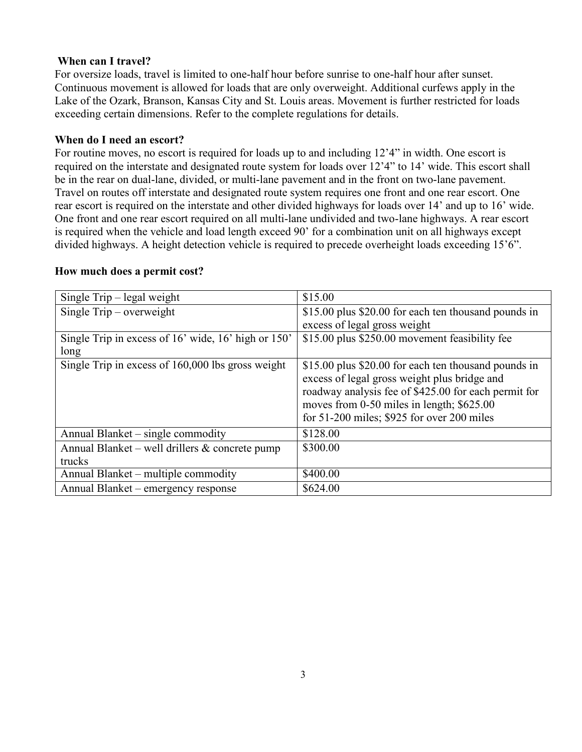## **When can I travel?**

For oversize loads, travel is limited to one-half hour before sunrise to one-half hour after sunset. Continuous movement is allowed for loads that are only overweight. Additional curfews apply in the Lake of the Ozark, Branson, Kansas City and St. Louis areas. Movement is further restricted for loads exceeding certain dimensions. Refer to the complete regulations for details.

#### **When do I need an escort?**

For routine moves, no escort is required for loads up to and including 12'4" in width. One escort is required on the interstate and designated route system for loads over 12'4" to 14' wide. This escort shall be in the rear on dual-lane, divided, or multi-lane pavement and in the front on two-lane pavement. Travel on routes off interstate and designated route system requires one front and one rear escort. One rear escort is required on the interstate and other divided highways for loads over 14' and up to 16' wide. One front and one rear escort required on all multi-lane undivided and two-lane highways. A rear escort is required when the vehicle and load length exceed 90' for a combination unit on all highways except divided highways. A height detection vehicle is required to precede overheight loads exceeding 15'6".

| Single $Trip - legal weight$                        | \$15.00                                                                                                                                                                                                                                                   |
|-----------------------------------------------------|-----------------------------------------------------------------------------------------------------------------------------------------------------------------------------------------------------------------------------------------------------------|
| Single $Trip - overweight$                          | \$15.00 plus \$20.00 for each ten thousand pounds in                                                                                                                                                                                                      |
|                                                     | excess of legal gross weight                                                                                                                                                                                                                              |
| Single Trip in excess of 16' wide, 16' high or 150' | \$15.00 plus \$250.00 movement feasibility fee                                                                                                                                                                                                            |
| long                                                |                                                                                                                                                                                                                                                           |
| Single Trip in excess of 160,000 lbs gross weight   | \$15.00 plus \$20.00 for each ten thousand pounds in<br>excess of legal gross weight plus bridge and<br>roadway analysis fee of \$425.00 for each permit for<br>moves from 0-50 miles in length; \$625.00<br>for $51-200$ miles; \$925 for over 200 miles |
| Annual Blanket – single commodity                   | \$128.00                                                                                                                                                                                                                                                  |
| Annual Blanket – well drillers $\&$ concrete pump   | \$300.00                                                                                                                                                                                                                                                  |
| trucks                                              |                                                                                                                                                                                                                                                           |
| Annual Blanket - multiple commodity                 | \$400.00                                                                                                                                                                                                                                                  |
| Annual Blanket – emergency response                 | \$624.00                                                                                                                                                                                                                                                  |

#### **How much does a permit cost?**